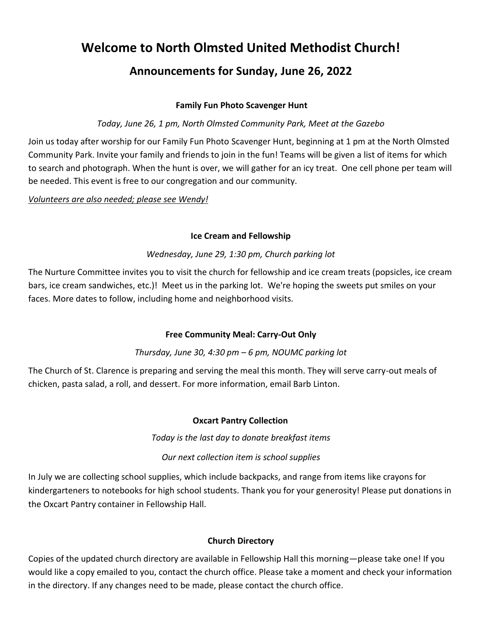# **Welcome to North Olmsted United Methodist Church!**

# **Announcements for Sunday, June 26, 2022**

#### **Family Fun Photo Scavenger Hunt**

#### *Today, June 26, 1 pm, North Olmsted Community Park, Meet at the Gazebo*

Join us today after worship for our Family Fun Photo Scavenger Hunt, beginning at 1 pm at the North Olmsted Community Park. Invite your family and friends to join in the fun! Teams will be given a list of items for which to search and photograph. When the hunt is over, we will gather for an icy treat. One cell phone per team will be needed. This event is free to our congregation and our community.

*Volunteers are also needed; please see Wendy!*

#### **Ice Cream and Fellowship**

#### *Wednesday, June 29, 1:30 pm, Church parking lot*

The Nurture Committee invites you to visit the church for fellowship and ice cream treats (popsicles, ice cream bars, ice cream sandwiches, etc.)! Meet us in the parking lot. We're hoping the sweets put smiles on your faces. More dates to follow, including home and neighborhood visits.

#### **Free Community Meal: Carry-Out Only**

## *Thursday, June 30, 4:30 pm – 6 pm, NOUMC parking lot*

The Church of St. Clarence is preparing and serving the meal this month. They will serve carry-out meals of chicken, pasta salad, a roll, and dessert. For more information, email Barb Linton.

#### **Oxcart Pantry Collection**

*Today is the last day to donate breakfast items*

## *Our next collection item is school supplies*

In July we are collecting school supplies, which include backpacks, and range from items like crayons for kindergarteners to notebooks for high school students. Thank you for your generosity! Please put donations in the Oxcart Pantry container in Fellowship Hall.

#### **Church Directory**

Copies of the updated church directory are available in Fellowship Hall this morning—please take one! If you would like a copy emailed to you, contact the church office. Please take a moment and check your information in the directory. If any changes need to be made, please contact the church office.